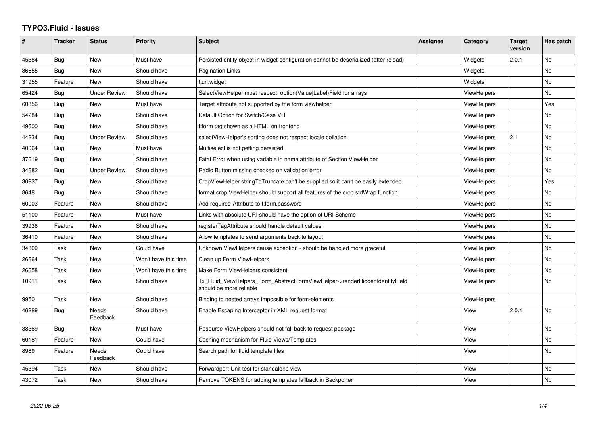## **TYPO3.Fluid - Issues**

| ∦     | <b>Tracker</b> | <b>Status</b>       | <b>Priority</b>      | <b>Subject</b>                                                                                         | Assignee | Category           | <b>Target</b><br>version | Has patch |
|-------|----------------|---------------------|----------------------|--------------------------------------------------------------------------------------------------------|----------|--------------------|--------------------------|-----------|
| 45384 | Bug            | <b>New</b>          | Must have            | Persisted entity object in widget-configuration cannot be deserialized (after reload)                  |          | Widgets            | 2.0.1                    | <b>No</b> |
| 36655 | Bug            | New                 | Should have          | Pagination Links                                                                                       |          | Widgets            |                          | No.       |
| 31955 | Feature        | New                 | Should have          | f:uri.widget                                                                                           |          | Widgets            |                          | No        |
| 65424 | <b>Bug</b>     | Under Review        | Should have          | SelectViewHelper must respect option(Value Label)Field for arrays                                      |          | <b>ViewHelpers</b> |                          | <b>No</b> |
| 60856 | <b>Bug</b>     | New                 | Must have            | Target attribute not supported by the form viewhelper                                                  |          | <b>ViewHelpers</b> |                          | Yes       |
| 54284 | Bug            | New                 | Should have          | Default Option for Switch/Case VH                                                                      |          | <b>ViewHelpers</b> |                          | No        |
| 49600 | Bug            | <b>New</b>          | Should have          | f:form tag shown as a HTML on frontend                                                                 |          | ViewHelpers        |                          | No.       |
| 44234 | Bug            | <b>Under Review</b> | Should have          | selectViewHelper's sorting does not respect locale collation                                           |          | <b>ViewHelpers</b> | 2.1                      | <b>No</b> |
| 40064 | Bug            | New                 | Must have            | Multiselect is not getting persisted                                                                   |          | <b>ViewHelpers</b> |                          | No        |
| 37619 | <b>Bug</b>     | <b>New</b>          | Should have          | Fatal Error when using variable in name attribute of Section ViewHelper                                |          | ViewHelpers        |                          | No        |
| 34682 | Bug            | Under Review        | Should have          | Radio Button missing checked on validation error                                                       |          | <b>ViewHelpers</b> |                          | No        |
| 30937 | Bug            | <b>New</b>          | Should have          | CropViewHelper stringToTruncate can't be supplied so it can't be easily extended                       |          | <b>ViewHelpers</b> |                          | Yes       |
| 8648  | Bug            | New                 | Should have          | format.crop ViewHelper should support all features of the crop stdWrap function                        |          | <b>ViewHelpers</b> |                          | No        |
| 60003 | Feature        | <b>New</b>          | Should have          | Add required-Attribute to f:form.password                                                              |          | <b>ViewHelpers</b> |                          | <b>No</b> |
| 51100 | Feature        | New                 | Must have            | Links with absolute URI should have the option of URI Scheme                                           |          | ViewHelpers        |                          | No        |
| 39936 | Feature        | New                 | Should have          | registerTagAttribute should handle default values                                                      |          | <b>ViewHelpers</b> |                          | No        |
| 36410 | Feature        | New                 | Should have          | Allow templates to send arguments back to layout                                                       |          | ViewHelpers        |                          | No        |
| 34309 | Task           | New                 | Could have           | Unknown ViewHelpers cause exception - should be handled more graceful                                  |          | ViewHelpers        |                          | <b>No</b> |
| 26664 | Task           | New                 | Won't have this time | Clean up Form ViewHelpers                                                                              |          | <b>ViewHelpers</b> |                          | No        |
| 26658 | Task           | New                 | Won't have this time | Make Form ViewHelpers consistent                                                                       |          | ViewHelpers        |                          | No        |
| 10911 | Task           | New                 | Should have          | Tx_Fluid_ViewHelpers_Form_AbstractFormViewHelper->renderHiddenIdentityField<br>should be more reliable |          | <b>ViewHelpers</b> |                          | <b>No</b> |
| 9950  | Task           | New                 | Should have          | Binding to nested arrays impossible for form-elements                                                  |          | ViewHelpers        |                          |           |
| 46289 | <b>Bug</b>     | Needs<br>Feedback   | Should have          | Enable Escaping Interceptor in XML request format                                                      |          | View               | 2.0.1                    | No        |
| 38369 | Bug            | New                 | Must have            | Resource ViewHelpers should not fall back to request package                                           |          | View               |                          | No        |
| 60181 | Feature        | New                 | Could have           | Caching mechanism for Fluid Views/Templates                                                            |          | View               |                          | <b>No</b> |
| 8989  | Feature        | Needs<br>Feedback   | Could have           | Search path for fluid template files                                                                   |          | View               |                          | No        |
| 45394 | Task           | New                 | Should have          | Forwardport Unit test for standalone view                                                              |          | View               |                          | <b>No</b> |
| 43072 | Task           | New                 | Should have          | Remove TOKENS for adding templates fallback in Backporter                                              |          | View               |                          | No        |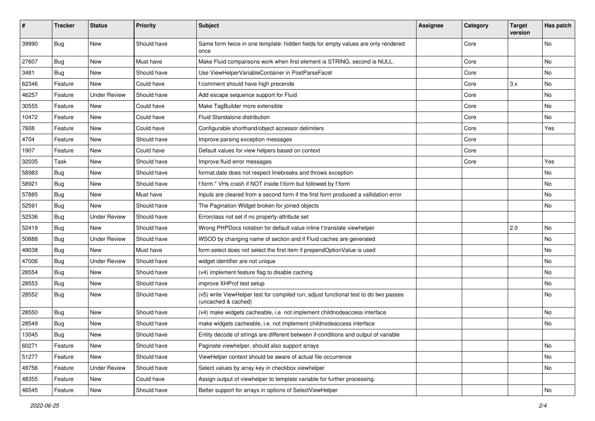| #     | <b>Tracker</b> | <b>Status</b>       | <b>Priority</b> | <b>Subject</b>                                                                                              | <b>Assignee</b> | Category | <b>Target</b><br>version | Has patch |
|-------|----------------|---------------------|-----------------|-------------------------------------------------------------------------------------------------------------|-----------------|----------|--------------------------|-----------|
| 39990 | Bug            | New                 | Should have     | Same form twice in one template: hidden fields for empty values are only rendered<br>once                   |                 | Core     |                          | No        |
| 27607 | <b>Bug</b>     | New                 | Must have       | Make Fluid comparisons work when first element is STRING, second is NULL.                                   |                 | Core     |                          | No        |
| 3481  | Bug            | New                 | Should have     | Use ViewHelperVariableContainer in PostParseFacet                                                           |                 | Core     |                          | No        |
| 62346 | Feature        | New                 | Could have      | f:comment should have high precende                                                                         |                 | Core     | 3.x                      | No        |
| 46257 | Feature        | <b>Under Review</b> | Should have     | Add escape sequence support for Fluid                                                                       |                 | Core     |                          | No        |
| 30555 | Feature        | New                 | Could have      | Make TagBuilder more extensible                                                                             |                 | Core     |                          | No        |
| 10472 | Feature        | New                 | Could have      | Fluid Standalone distribution                                                                               |                 | Core     |                          | No        |
| 7608  | Feature        | New                 | Could have      | Configurable shorthand/object accessor delimiters                                                           |                 | Core     |                          | Yes       |
| 4704  | Feature        | New                 | Should have     | Improve parsing exception messages                                                                          |                 | Core     |                          |           |
| 1907  | Feature        | New                 | Could have      | Default values for view helpers based on context                                                            |                 | Core     |                          |           |
| 32035 | Task           | New                 | Should have     | Improve fluid error messages                                                                                |                 | Core     |                          | Yes       |
| 58983 | Bug            | New                 | Should have     | format.date does not respect linebreaks and throws exception                                                |                 |          |                          | No        |
| 58921 | Bug            | New                 | Should have     | f:form.* VHs crash if NOT inside f:form but followed by f:form                                              |                 |          |                          | No        |
| 57885 | Bug            | New                 | Must have       | Inputs are cleared from a second form if the first form produced a vallidation error                        |                 |          |                          | No        |
| 52591 | Bug            | New                 | Should have     | The Pagination Widget broken for joined objects                                                             |                 |          |                          | No        |
| 52536 | <b>Bug</b>     | <b>Under Review</b> | Should have     | Errorclass not set if no property-attribute set                                                             |                 |          |                          |           |
| 52419 | Bug            | New                 | Should have     | Wrong PHPDocs notation for default value inline f:translate viewhelper                                      |                 |          | 2.0                      | No        |
| 50888 | Bug            | <b>Under Review</b> | Should have     | WSOD by changing name of section and if Fluid caches are generated                                          |                 |          |                          | No        |
| 49038 | Bug            | New                 | Must have       | form.select does not select the first item if prependOptionValue is used                                    |                 |          |                          | No        |
| 47006 | Bug            | <b>Under Review</b> | Should have     | widget identifier are not unique                                                                            |                 |          |                          | No        |
| 28554 | Bug            | New                 | Should have     | (v4) implement feature flag to disable caching                                                              |                 |          |                          | No        |
| 28553 | Bug            | New                 | Should have     | improve XHProf test setup                                                                                   |                 |          |                          | No        |
| 28552 | Bug            | New                 | Should have     | (v5) write ViewHelper test for compiled run; adjust functional test to do two passes<br>(uncached & cached) |                 |          |                          | No        |
| 28550 | Bug            | New                 | Should have     | (v4) make widgets cacheable, i.e. not implement childnodeaccess interface                                   |                 |          |                          | No        |
| 28549 | Bug            | New                 | Should have     | make widgets cacheable, i.e. not implement childnodeaccess interface                                        |                 |          |                          | No        |
| 13045 | Bug            | New                 | Should have     | Entity decode of strings are different between if-conditions and output of variable                         |                 |          |                          |           |
| 60271 | Feature        | New                 | Should have     | Paginate viewhelper, should also support arrays                                                             |                 |          |                          | No        |
| 51277 | Feature        | New                 | Should have     | ViewHelper context should be aware of actual file occurrence                                                |                 |          |                          | No        |
| 49756 | Feature        | <b>Under Review</b> | Should have     | Select values by array key in checkbox viewhelper                                                           |                 |          |                          | No        |
| 48355 | Feature        | New                 | Could have      | Assign output of viewhelper to template variable for further processing.                                    |                 |          |                          |           |
| 46545 | Feature        | New                 | Should have     | Better support for arrays in options of SelectViewHelper                                                    |                 |          |                          | No        |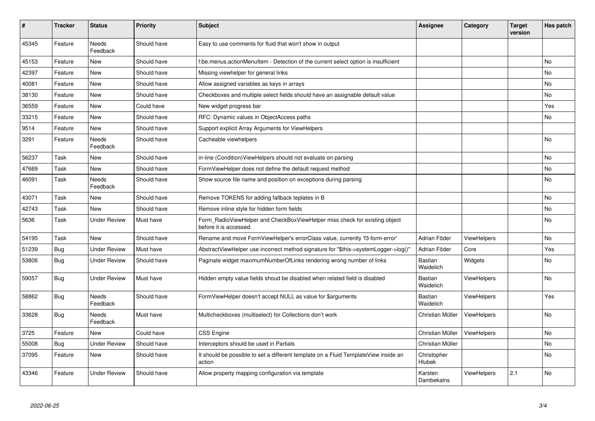| #     | <b>Tracker</b> | <b>Status</b>       | <b>Priority</b> | <b>Subject</b>                                                                                       | <b>Assignee</b>             | Category           | <b>Target</b><br>version | Has patch |
|-------|----------------|---------------------|-----------------|------------------------------------------------------------------------------------------------------|-----------------------------|--------------------|--------------------------|-----------|
| 45345 | Feature        | Needs<br>Feedback   | Should have     | Easy to use comments for fluid that won't show in output                                             |                             |                    |                          |           |
| 45153 | Feature        | New                 | Should have     | f:be.menus.actionMenuItem - Detection of the current select option is insufficient                   |                             |                    |                          | <b>No</b> |
| 42397 | Feature        | <b>New</b>          | Should have     | Missing viewhelper for general links                                                                 |                             |                    |                          | No        |
| 40081 | Feature        | New                 | Should have     | Allow assigned variables as keys in arrays                                                           |                             |                    |                          | <b>No</b> |
| 38130 | Feature        | New                 | Should have     | Checkboxes and multiple select fields should have an assignable default value                        |                             |                    |                          | No        |
| 36559 | Feature        | New                 | Could have      | New widget progress bar                                                                              |                             |                    |                          | Yes       |
| 33215 | Feature        | New                 | Should have     | RFC: Dynamic values in ObjectAccess paths                                                            |                             |                    |                          | No        |
| 9514  | Feature        | New                 | Should have     | Support explicit Array Arguments for ViewHelpers                                                     |                             |                    |                          |           |
| 3291  | Feature        | Needs<br>Feedback   | Should have     | Cacheable viewhelpers                                                                                |                             |                    |                          | No        |
| 56237 | Task           | New                 | Should have     | in-line (Condition)ViewHelpers should not evaluate on parsing                                        |                             |                    |                          | No        |
| 47669 | Task           | New                 | Should have     | FormViewHelper does not define the default request method                                            |                             |                    |                          | No        |
| 46091 | Task           | Needs<br>Feedback   | Should have     | Show source file name and position on exceptions during parsing                                      |                             |                    |                          | No        |
| 43071 | Task           | New                 | Should have     | Remove TOKENS for adding fallback teplates in B                                                      |                             |                    |                          | <b>No</b> |
| 42743 | Task           | New                 | Should have     | Remove inline style for hidden form fields                                                           |                             |                    |                          | No        |
| 5636  | Task           | <b>Under Review</b> | Must have       | Form_RadioViewHelper and CheckBoxViewHelper miss check for existing object<br>before it is accessed. |                             |                    |                          | No        |
| 54195 | Task           | <b>New</b>          | Should have     | Rename and move FormViewHelper's errorClass value, currently 'f3-form-error'                         | Adrian Föder                | <b>ViewHelpers</b> |                          | No        |
| 51239 | Bug            | <b>Under Review</b> | Must have       | AbstractViewHelper use incorrect method signature for "\$this->systemLogger->log()"                  | Adrian Föder                | Core               |                          | Yes       |
| 53806 | <b>Bug</b>     | <b>Under Review</b> | Should have     | Paginate widget maximumNumberOfLinks rendering wrong number of links                                 | <b>Bastian</b><br>Waidelich | Widgets            |                          | No        |
| 59057 | Bug            | <b>Under Review</b> | Must have       | Hidden empty value fields shoud be disabled when related field is disabled                           | <b>Bastian</b><br>Waidelich | <b>ViewHelpers</b> |                          | No        |
| 58862 | <b>Bug</b>     | Needs<br>Feedback   | Should have     | FormViewHelper doesn't accept NULL as value for \$arguments                                          | <b>Bastian</b><br>Waidelich | <b>ViewHelpers</b> |                          | Yes       |
| 33628 | Bug            | Needs<br>Feedback   | Must have       | Multicheckboxes (multiselect) for Collections don't work                                             | Christian Müller            | ViewHelpers        |                          | No        |
| 3725  | Feature        | New                 | Could have      | <b>CSS Engine</b>                                                                                    | Christian Müller            | <b>ViewHelpers</b> |                          | <b>No</b> |
| 55008 | <b>Bug</b>     | Under Review        | Should have     | Interceptors should be used in Partials                                                              | Christian Müller            |                    |                          | <b>No</b> |
| 37095 | Feature        | New                 | Should have     | It should be possible to set a different template on a Fluid TemplateView inside an<br>action        | Christopher<br>Hlubek       |                    |                          | No        |
| 43346 | Feature        | Under Review        | Should have     | Allow property mapping configuration via template                                                    | Karsten<br>Dambekalns       | ViewHelpers        | 2.1                      | <b>No</b> |